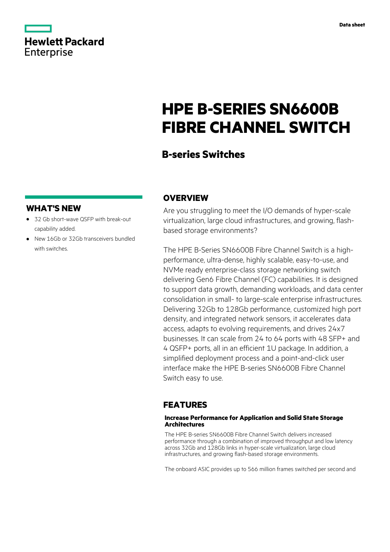|                   | <b>Hewlett Packard</b> |
|-------------------|------------------------|
| <b>Enterprise</b> |                        |

# **HPE B-SERIES SN6600B FIBRE CHANNEL SWITCH**

### **B-series Switches**

### **WHAT'S NEW**

- **·** 32 Gb short-wave QSFP with break-out capability added.
- **·** New 16Gb or 32Gb transceivers bundled with switches.

### **OVERVIEW**

Are you struggling to meet the I/O demands of hyper-scale virtualization, large cloud infrastructures, and growing, flashbased storage environments?

The HPE B-Series SN6600B Fibre Channel Switch is a highperformance, ultra-dense, highly scalable, easy-to-use, and NVMe ready enterprise-class storage networking switch delivering Gen6 Fibre Channel (FC) capabilities. It is designed to support data growth, demanding workloads, and data center consolidation in small- to large-scale enterprise infrastructures. Delivering 32Gb to 128Gb performance, customized high port density, and integrated network sensors, it accelerates data access, adapts to evolving requirements, and drives 24x7 businesses. It can scale from 24 to 64 ports with 48 SFP+ and 4 QSFP+ ports, all in an efficient 1U package. In addition, a simplified deployment process and a point-and-click user interface make the HPE B-series SN6600B Fibre Channel Switch easy to use.

### **FEATURES**

### **Increase Performance for Application and Solid State Storage Architectures**

The HPE B-series SN6600B Fibre Channel Switch delivers increased performance through a combination of improved throughput and low latency across 32Gb and 128Gb links in hyper-scale virtualization, large cloud infrastructures, and growing flash-based storage environments.

The onboard ASIC provides up to 566 million frames switched per second and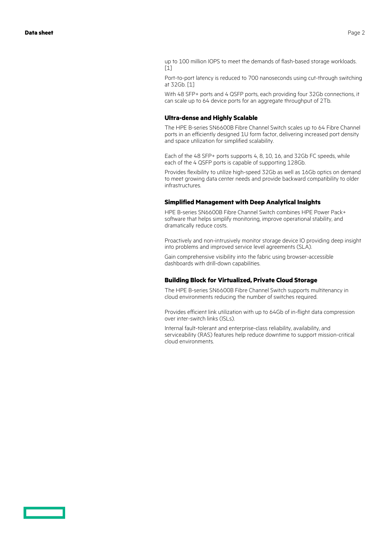up to 100 million IOPS to meet the demands of flash-based storage workloads. [1]

Port-to-port latency is reduced to 700 nanoseconds using cut-through switching at 32Gb. [1]

With 48 SFP+ ports and 4 QSFP ports, each providing four 32Gb connections, it can scale up to 64 device ports for an aggregate throughput of 2Tb.

### **Ultra-dense and Highly Scalable**

The HPE B-series SN6600B Fibre Channel Switch scales up to 64 Fibre Channel ports in an efficiently designed 1U form factor, delivering increased port density and space utilization for simplified scalability.

Each of the 48 SFP+ ports supports 4, 8, 10, 16, and 32Gb FC speeds, while each of the 4 QSFP ports is capable of supporting 128Gb.

Provides flexibility to utilize high-speed 32Gb as well as 16Gb optics on demand to meet growing data center needs and provide backward compatibility to older infrastructures.

#### **Simplified Management with Deep Analytical Insights**

HPE B-series SN6600B Fibre Channel Switch combines HPE Power Pack+ software that helps simplify monitoring, improve operational stability, and dramatically reduce costs.

Proactively and non-intrusively monitor storage device IO providing deep insight into problems and improved service level agreements (SLA).

Gain comprehensive visibility into the fabric using browser-accessible dashboards with drill-down capabilities.

#### **Building Block for Virtualized, Private Cloud Storage**

The HPE B-series SN6600B Fibre Channel Switch supports multitenancy in cloud environments reducing the number of switches required.

Provides efficient link utilization with up to 64Gb of in-flight data compression over inter-switch links (ISLs).

Internal fault-tolerant and enterprise-class reliability, availability, and serviceability (RAS) features help reduce downtime to support mission-critical cloud environments.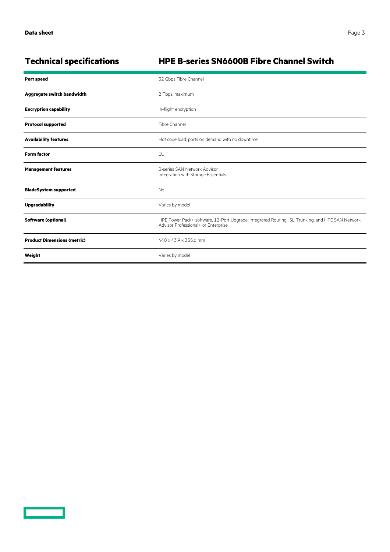$\overline{\phantom{0}}$ 

## **Technical specifications HPE B-series SN6600B Fibre Channel Switch**

| <b>Port speed</b>                  | 32 Gbps Fibre Channel                                                                                                                   |
|------------------------------------|-----------------------------------------------------------------------------------------------------------------------------------------|
| Aggregate switch bandwidth         | 2 Tbps, maximum                                                                                                                         |
| <b>Encryption capability</b>       | In-flight encryption                                                                                                                    |
| <b>Protocol supported</b>          | Fibre Channel                                                                                                                           |
| <b>Availability features</b>       | Hot code load, ports on demand with no downtime                                                                                         |
| <b>Form factor</b>                 | 1U                                                                                                                                      |
| <b>Management features</b>         | B-series SAN Network Advisor<br>Integration with Storage Essentials                                                                     |
| <b>BladeSystem supported</b>       | <b>No</b>                                                                                                                               |
| <b>Upgradability</b>               | Varies by model                                                                                                                         |
| <b>Software (optional)</b>         | HPE Power Pack+ software, 12-Port Upgrade, Integrated Routing, ISL Trunking, and HPE SAN Network<br>Advisor Professional+ or Enterprise |
| <b>Product Dimensions (metric)</b> | 440 x 43.9 x 355.6 mm                                                                                                                   |
| Weight                             | Varies by model                                                                                                                         |